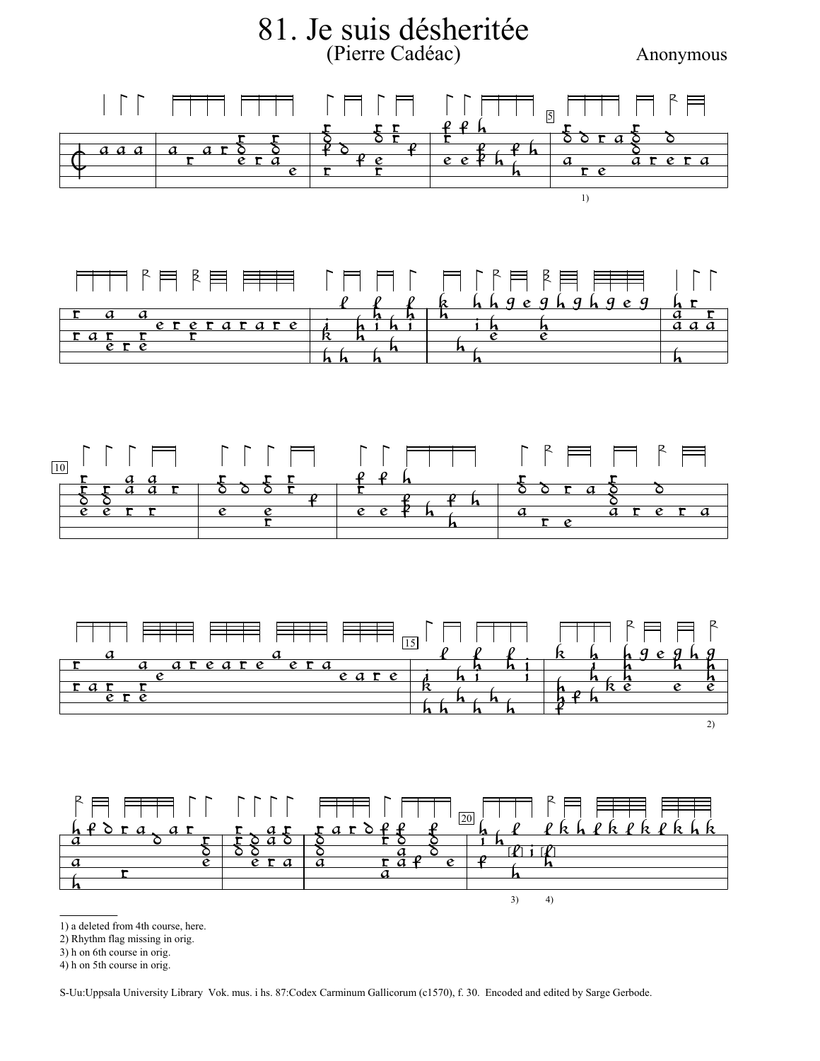

S-Uu:Uppsala University Library Vok. mus. i hs. 87:Codex Carminum Gallicorum (c1570), f. 30. Encoded and edited by Sarge Gerbode.

<sup>2)</sup> Rhythm flag missing in orig.

<sup>3)</sup> h on 6th course in orig.

<sup>4)</sup> h on 5th course in orig.